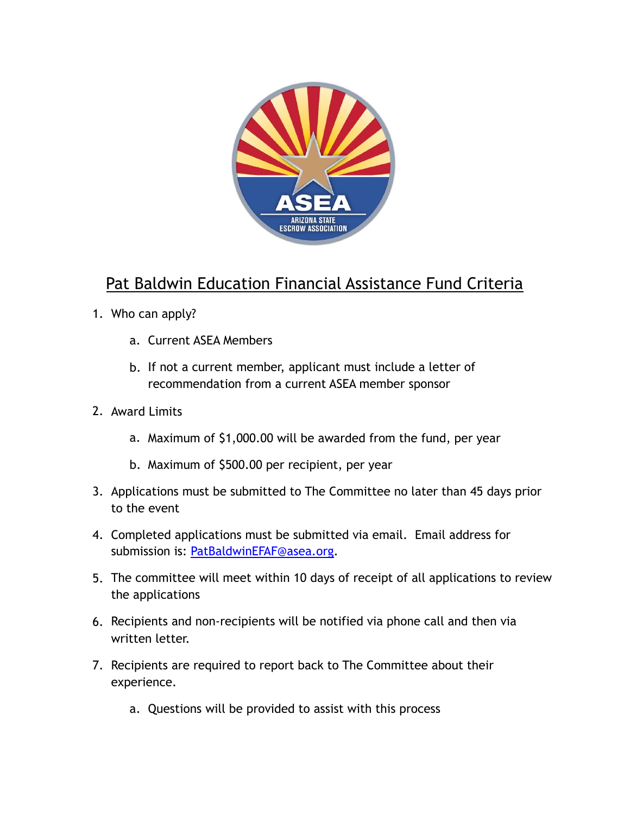

## Pat Baldwin Education Financial Assistance Fund Criteria

- 1. Who can apply?
	- a. Current ASEA Members
	- b. If not a current member, applicant must include a letter of recommendation from a current ASEA member sponsor
- 2. Award Limits
	- a. Maximum of \$1,000.00 will be awarded from the fund, per year
	- b. Maximum of \$500.00 per recipient, per year
- 3. Applications must be submitted to The Committee no later than 45 days prior to the event
- 4. Completed applications must be submitted via email. Email address for submission is: [PatBaldwinEFAF@asea.org.](mailto:PatBaldwinEFAF@asea.org)
- 5. The committee will meet within 10 days of receipt of all applications to review the applications
- 6. Recipients and non-recipients will be notified via phone call and then via written letter.
- 7. Recipients are required to report back to The Committee about their experience.
	- a. Questions will be provided to assist with this process